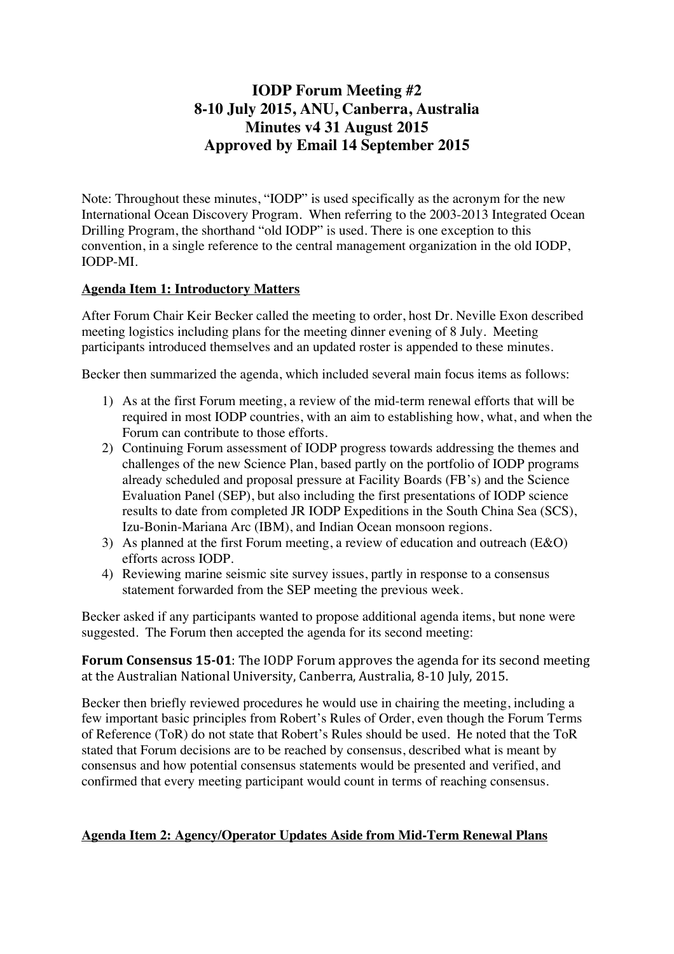## **IODP Forum Meeting #2 8-10 July 2015, ANU, Canberra, Australia Minutes v4 31 August 2015 Approved by Email 14 September 2015**

Note: Throughout these minutes, "IODP" is used specifically as the acronym for the new International Ocean Discovery Program. When referring to the 2003-2013 Integrated Ocean Drilling Program, the shorthand "old IODP" is used. There is one exception to this convention, in a single reference to the central management organization in the old IODP, IODP-MI.

### **Agenda Item 1: Introductory Matters**

After Forum Chair Keir Becker called the meeting to order, host Dr. Neville Exon described meeting logistics including plans for the meeting dinner evening of 8 July. Meeting participants introduced themselves and an updated roster is appended to these minutes.

Becker then summarized the agenda, which included several main focus items as follows:

- 1) As at the first Forum meeting, a review of the mid-term renewal efforts that will be required in most IODP countries, with an aim to establishing how, what, and when the Forum can contribute to those efforts.
- 2) Continuing Forum assessment of IODP progress towards addressing the themes and challenges of the new Science Plan, based partly on the portfolio of IODP programs already scheduled and proposal pressure at Facility Boards (FB's) and the Science Evaluation Panel (SEP), but also including the first presentations of IODP science results to date from completed JR IODP Expeditions in the South China Sea (SCS), Izu-Bonin-Mariana Arc (IBM), and Indian Ocean monsoon regions.
- 3) As planned at the first Forum meeting, a review of education and outreach (E&O) efforts across IODP.
- 4) Reviewing marine seismic site survey issues, partly in response to a consensus statement forwarded from the SEP meeting the previous week.

Becker asked if any participants wanted to propose additional agenda items, but none were suggested. The Forum then accepted the agenda for its second meeting:

**Forum Consensus 15-01**: The IODP Forum approves the agenda for its second meeting at the Australian National University, Canberra, Australia, 8-10 July, 2015.

Becker then briefly reviewed procedures he would use in chairing the meeting, including a few important basic principles from Robert's Rules of Order, even though the Forum Terms of Reference (ToR) do not state that Robert's Rules should be used. He noted that the ToR stated that Forum decisions are to be reached by consensus, described what is meant by consensus and how potential consensus statements would be presented and verified, and confirmed that every meeting participant would count in terms of reaching consensus.

### **Agenda Item 2: Agency/Operator Updates Aside from Mid-Term Renewal Plans**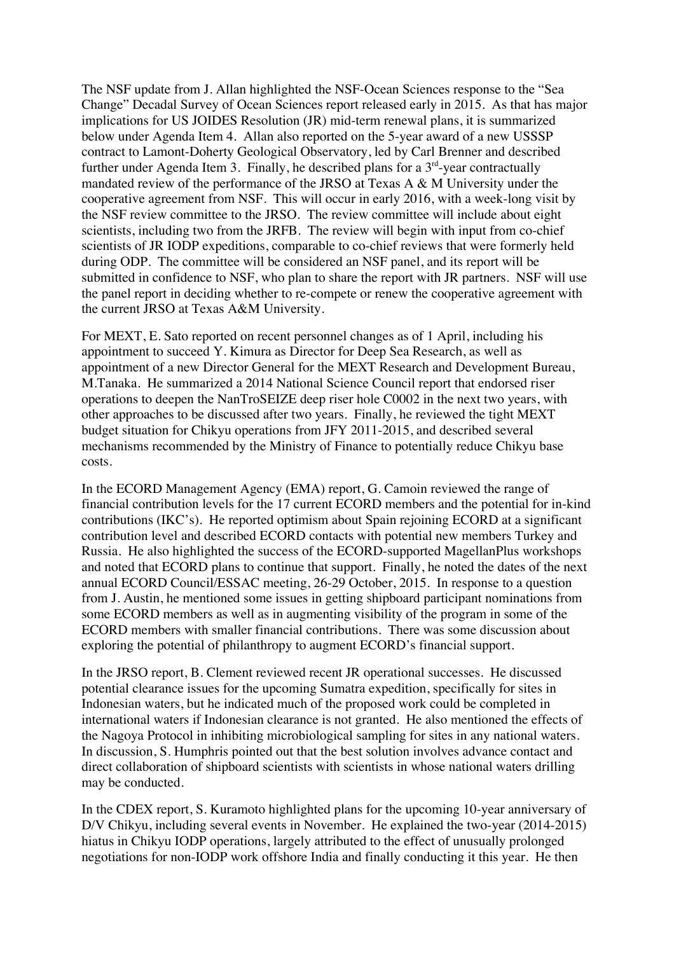The NSF update from J. Allan highlighted the NSF-Ocean Sciences response to the "Sea Change" Decadal Survey of Ocean Sciences report released early in 2015. As that has major implications for US JOIDES Resolution (JR) mid-term renewal plans, it is summarized below under Agenda Item 4. Allan also reported on the 5-year award of a new USSSP contract to Lamont-Doherty Geological Observatory, led by Carl Brenner and described further under Agenda Item 3. Finally, he described plans for a  $3<sup>rd</sup>$ -year contractually mandated review of the performance of the JRSO at Texas A & M University under the cooperative agreement from NSF. This will occur in early 2016, with a week-long visit by the NSF review committee to the JRSO. The review committee will include about eight scientists, including two from the JRFB. The review will begin with input from co-chief scientists of JR IODP expeditions, comparable to co-chief reviews that were formerly held during ODP. The committee will be considered an NSF panel, and its report will be submitted in confidence to NSF, who plan to share the report with JR partners. NSF will use the panel report in deciding whether to re-compete or renew the cooperative agreement with the current JRSO at Texas A&M University.

For MEXT, E. Sato reported on recent personnel changes as of 1 April, including his appointment to succeed Y. Kimura as Director for Deep Sea Research, as well as appointment of a new Director General for the MEXT Research and Development Bureau, M.Tanaka. He summarized a 2014 National Science Council report that endorsed riser operations to deepen the NanTroSEIZE deep riser hole C0002 in the next two years, with other approaches to be discussed after two years. Finally, he reviewed the tight MEXT budget situation for Chikyu operations from JFY 2011-2015, and described several mechanisms recommended by the Ministry of Finance to potentially reduce Chikyu base costs.

In the ECORD Management Agency (EMA) report, G. Camoin reviewed the range of financial contribution levels for the 17 current ECORD members and the potential for in-kind contributions (IKC's). He reported optimism about Spain rejoining ECORD at a significant contribution level and described ECORD contacts with potential new members Turkey and Russia. He also highlighted the success of the ECORD-supported MagellanPlus workshops and noted that ECORD plans to continue that support. Finally, he noted the dates of the next annual ECORD Council/ESSAC meeting, 26-29 October, 2015. In response to a question from J. Austin, he mentioned some issues in getting shipboard participant nominations from some ECORD members as well as in augmenting visibility of the program in some of the ECORD members with smaller financial contributions. There was some discussion about exploring the potential of philanthropy to augment ECORD's financial support.

In the JRSO report, B. Clement reviewed recent JR operational successes. He discussed potential clearance issues for the upcoming Sumatra expedition, specifically for sites in Indonesian waters, but he indicated much of the proposed work could be completed in international waters if Indonesian clearance is not granted. He also mentioned the effects of the Nagoya Protocol in inhibiting microbiological sampling for sites in any national waters. In discussion, S. Humphris pointed out that the best solution involves advance contact and direct collaboration of shipboard scientists with scientists in whose national waters drilling may be conducted.

In the CDEX report, S. Kuramoto highlighted plans for the upcoming 10-year anniversary of D/V Chikyu, including several events in November. He explained the two-year (2014-2015) hiatus in Chikyu IODP operations, largely attributed to the effect of unusually prolonged negotiations for non-IODP work offshore India and finally conducting it this year. He then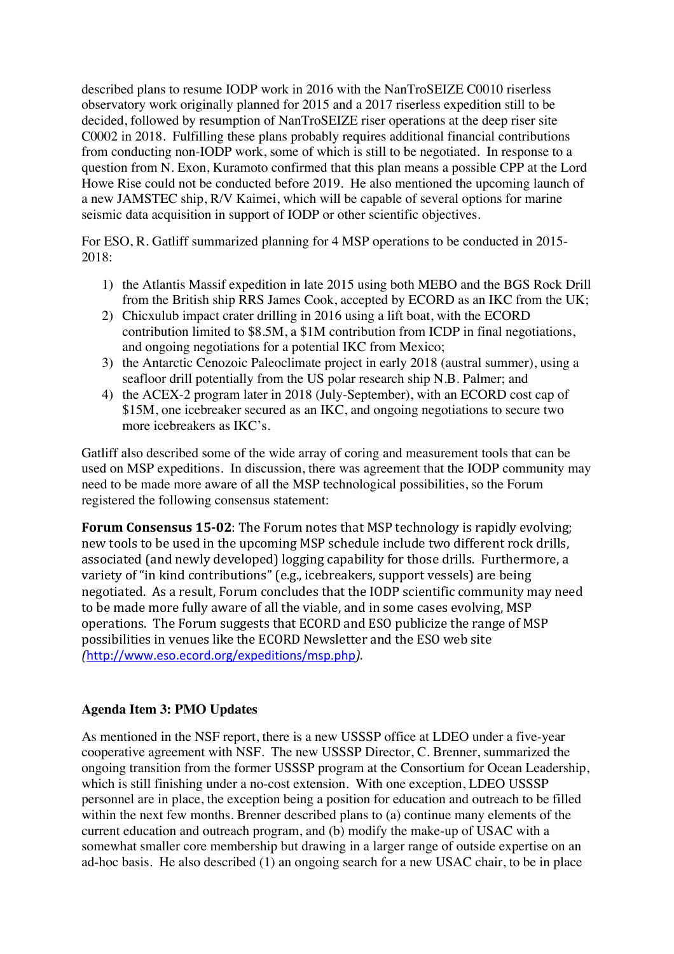described plans to resume IODP work in 2016 with the NanTroSEIZE C0010 riserless observatory work originally planned for 2015 and a 2017 riserless expedition still to be decided, followed by resumption of NanTroSEIZE riser operations at the deep riser site C0002 in 2018. Fulfilling these plans probably requires additional financial contributions from conducting non-IODP work, some of which is still to be negotiated. In response to a question from N. Exon, Kuramoto confirmed that this plan means a possible CPP at the Lord Howe Rise could not be conducted before 2019. He also mentioned the upcoming launch of a new JAMSTEC ship, R/V Kaimei, which will be capable of several options for marine seismic data acquisition in support of IODP or other scientific objectives.

For ESO, R. Gatliff summarized planning for 4 MSP operations to be conducted in 2015- 2018:

- 1) the Atlantis Massif expedition in late 2015 using both MEBO and the BGS Rock Drill from the British ship RRS James Cook, accepted by ECORD as an IKC from the UK;
- 2) Chicxulub impact crater drilling in 2016 using a lift boat, with the ECORD contribution limited to \$8.5M, a \$1M contribution from ICDP in final negotiations, and ongoing negotiations for a potential IKC from Mexico;
- 3) the Antarctic Cenozoic Paleoclimate project in early 2018 (austral summer), using a seafloor drill potentially from the US polar research ship N.B. Palmer; and
- 4) the ACEX-2 program later in 2018 (July-September), with an ECORD cost cap of \$15M, one icebreaker secured as an IKC, and ongoing negotiations to secure two more icebreakers as IKC's.

Gatliff also described some of the wide array of coring and measurement tools that can be used on MSP expeditions. In discussion, there was agreement that the IODP community may need to be made more aware of all the MSP technological possibilities, so the Forum registered the following consensus statement:

**Forum Consensus 15-02:** The Forum notes that MSP technology is rapidly evolving: new tools to be used in the upcoming MSP schedule include two different rock drills, associated (and newly developed) logging capability for those drills. Furthermore, a variety of "in kind contributions" (e.g., icebreakers, support vessels) are being negotiated. As a result, Forum concludes that the IODP scientific community may need to be made more fully aware of all the viable, and in some cases evolving, MSP operations. The Forum suggests that ECORD and ESO publicize the range of MSP possibilities in venues like the ECORD Newsletter and the ESO web site *(*http://www.eso.ecord.org/expeditions/msp.php*).*

### **Agenda Item 3: PMO Updates**

As mentioned in the NSF report, there is a new USSSP office at LDEO under a five-year cooperative agreement with NSF. The new USSSP Director, C. Brenner, summarized the ongoing transition from the former USSSP program at the Consortium for Ocean Leadership, which is still finishing under a no-cost extension. With one exception, LDEO USSSP personnel are in place, the exception being a position for education and outreach to be filled within the next few months. Brenner described plans to (a) continue many elements of the current education and outreach program, and (b) modify the make-up of USAC with a somewhat smaller core membership but drawing in a larger range of outside expertise on an ad-hoc basis. He also described (1) an ongoing search for a new USAC chair, to be in place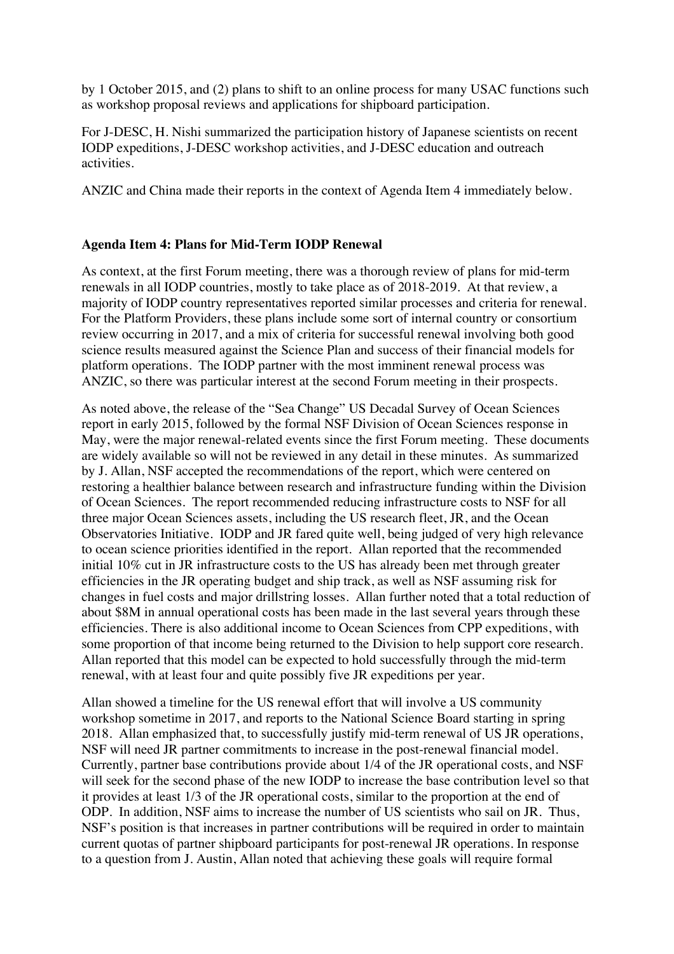by 1 October 2015, and (2) plans to shift to an online process for many USAC functions such as workshop proposal reviews and applications for shipboard participation.

For J-DESC, H. Nishi summarized the participation history of Japanese scientists on recent IODP expeditions, J-DESC workshop activities, and J-DESC education and outreach activities.

ANZIC and China made their reports in the context of Agenda Item 4 immediately below.

### **Agenda Item 4: Plans for Mid-Term IODP Renewal**

As context, at the first Forum meeting, there was a thorough review of plans for mid-term renewals in all IODP countries, mostly to take place as of 2018-2019. At that review, a majority of IODP country representatives reported similar processes and criteria for renewal. For the Platform Providers, these plans include some sort of internal country or consortium review occurring in 2017, and a mix of criteria for successful renewal involving both good science results measured against the Science Plan and success of their financial models for platform operations. The IODP partner with the most imminent renewal process was ANZIC, so there was particular interest at the second Forum meeting in their prospects.

As noted above, the release of the "Sea Change" US Decadal Survey of Ocean Sciences report in early 2015, followed by the formal NSF Division of Ocean Sciences response in May, were the major renewal-related events since the first Forum meeting. These documents are widely available so will not be reviewed in any detail in these minutes. As summarized by J. Allan, NSF accepted the recommendations of the report, which were centered on restoring a healthier balance between research and infrastructure funding within the Division of Ocean Sciences. The report recommended reducing infrastructure costs to NSF for all three major Ocean Sciences assets, including the US research fleet, JR, and the Ocean Observatories Initiative. IODP and JR fared quite well, being judged of very high relevance to ocean science priorities identified in the report. Allan reported that the recommended initial 10% cut in JR infrastructure costs to the US has already been met through greater efficiencies in the JR operating budget and ship track, as well as NSF assuming risk for changes in fuel costs and major drillstring losses. Allan further noted that a total reduction of about \$8M in annual operational costs has been made in the last several years through these efficiencies. There is also additional income to Ocean Sciences from CPP expeditions, with some proportion of that income being returned to the Division to help support core research. Allan reported that this model can be expected to hold successfully through the mid-term renewal, with at least four and quite possibly five JR expeditions per year.

Allan showed a timeline for the US renewal effort that will involve a US community workshop sometime in 2017, and reports to the National Science Board starting in spring 2018. Allan emphasized that, to successfully justify mid-term renewal of US JR operations, NSF will need JR partner commitments to increase in the post-renewal financial model. Currently, partner base contributions provide about 1/4 of the JR operational costs, and NSF will seek for the second phase of the new IODP to increase the base contribution level so that it provides at least 1/3 of the JR operational costs, similar to the proportion at the end of ODP. In addition, NSF aims to increase the number of US scientists who sail on JR. Thus, NSF's position is that increases in partner contributions will be required in order to maintain current quotas of partner shipboard participants for post-renewal JR operations. In response to a question from J. Austin, Allan noted that achieving these goals will require formal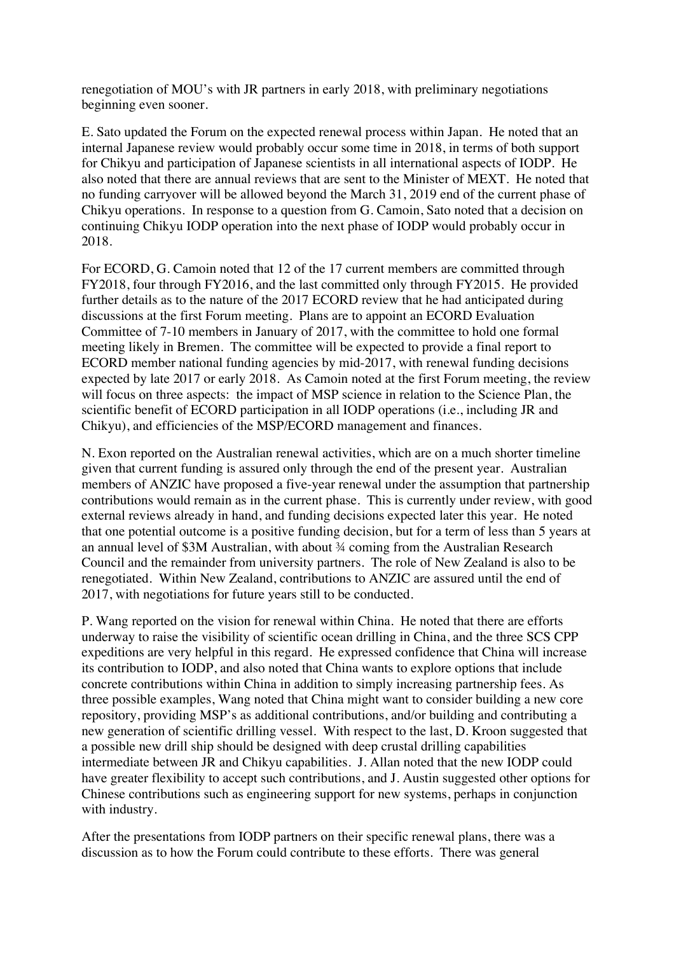renegotiation of MOU's with JR partners in early 2018, with preliminary negotiations beginning even sooner.

E. Sato updated the Forum on the expected renewal process within Japan. He noted that an internal Japanese review would probably occur some time in 2018, in terms of both support for Chikyu and participation of Japanese scientists in all international aspects of IODP. He also noted that there are annual reviews that are sent to the Minister of MEXT. He noted that no funding carryover will be allowed beyond the March 31, 2019 end of the current phase of Chikyu operations. In response to a question from G. Camoin, Sato noted that a decision on continuing Chikyu IODP operation into the next phase of IODP would probably occur in 2018.

For ECORD, G. Camoin noted that 12 of the 17 current members are committed through FY2018, four through FY2016, and the last committed only through FY2015. He provided further details as to the nature of the 2017 ECORD review that he had anticipated during discussions at the first Forum meeting. Plans are to appoint an ECORD Evaluation Committee of 7-10 members in January of 2017, with the committee to hold one formal meeting likely in Bremen. The committee will be expected to provide a final report to ECORD member national funding agencies by mid-2017, with renewal funding decisions expected by late 2017 or early 2018. As Camoin noted at the first Forum meeting, the review will focus on three aspects: the impact of MSP science in relation to the Science Plan, the scientific benefit of ECORD participation in all IODP operations (i.e., including JR and Chikyu), and efficiencies of the MSP/ECORD management and finances.

N. Exon reported on the Australian renewal activities, which are on a much shorter timeline given that current funding is assured only through the end of the present year. Australian members of ANZIC have proposed a five-year renewal under the assumption that partnership contributions would remain as in the current phase. This is currently under review, with good external reviews already in hand, and funding decisions expected later this year. He noted that one potential outcome is a positive funding decision, but for a term of less than 5 years at an annual level of \$3M Australian, with about ¾ coming from the Australian Research Council and the remainder from university partners. The role of New Zealand is also to be renegotiated. Within New Zealand, contributions to ANZIC are assured until the end of 2017, with negotiations for future years still to be conducted.

P. Wang reported on the vision for renewal within China. He noted that there are efforts underway to raise the visibility of scientific ocean drilling in China, and the three SCS CPP expeditions are very helpful in this regard. He expressed confidence that China will increase its contribution to IODP, and also noted that China wants to explore options that include concrete contributions within China in addition to simply increasing partnership fees. As three possible examples, Wang noted that China might want to consider building a new core repository, providing MSP's as additional contributions, and/or building and contributing a new generation of scientific drilling vessel. With respect to the last, D. Kroon suggested that a possible new drill ship should be designed with deep crustal drilling capabilities intermediate between JR and Chikyu capabilities. J. Allan noted that the new IODP could have greater flexibility to accept such contributions, and J. Austin suggested other options for Chinese contributions such as engineering support for new systems, perhaps in conjunction with industry.

After the presentations from IODP partners on their specific renewal plans, there was a discussion as to how the Forum could contribute to these efforts. There was general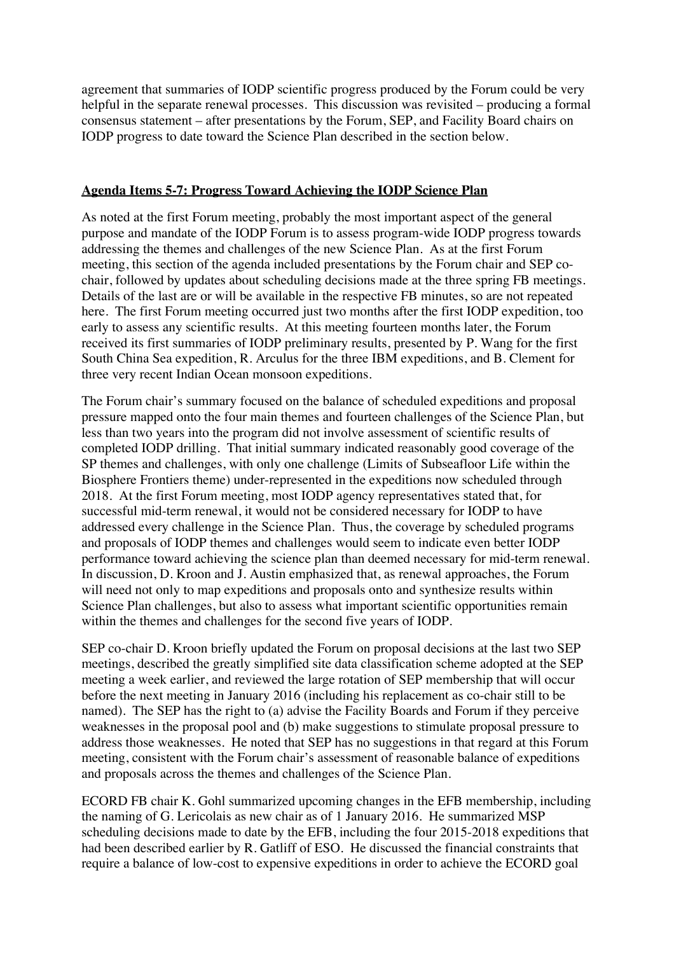agreement that summaries of IODP scientific progress produced by the Forum could be very helpful in the separate renewal processes. This discussion was revisited – producing a formal consensus statement – after presentations by the Forum, SEP, and Facility Board chairs on IODP progress to date toward the Science Plan described in the section below.

### **Agenda Items 5-7: Progress Toward Achieving the IODP Science Plan**

As noted at the first Forum meeting, probably the most important aspect of the general purpose and mandate of the IODP Forum is to assess program-wide IODP progress towards addressing the themes and challenges of the new Science Plan. As at the first Forum meeting, this section of the agenda included presentations by the Forum chair and SEP cochair, followed by updates about scheduling decisions made at the three spring FB meetings. Details of the last are or will be available in the respective FB minutes, so are not repeated here. The first Forum meeting occurred just two months after the first IODP expedition, too early to assess any scientific results. At this meeting fourteen months later, the Forum received its first summaries of IODP preliminary results, presented by P. Wang for the first South China Sea expedition, R. Arculus for the three IBM expeditions, and B. Clement for three very recent Indian Ocean monsoon expeditions.

The Forum chair's summary focused on the balance of scheduled expeditions and proposal pressure mapped onto the four main themes and fourteen challenges of the Science Plan, but less than two years into the program did not involve assessment of scientific results of completed IODP drilling. That initial summary indicated reasonably good coverage of the SP themes and challenges, with only one challenge (Limits of Subseafloor Life within the Biosphere Frontiers theme) under-represented in the expeditions now scheduled through 2018. At the first Forum meeting, most IODP agency representatives stated that, for successful mid-term renewal, it would not be considered necessary for IODP to have addressed every challenge in the Science Plan. Thus, the coverage by scheduled programs and proposals of IODP themes and challenges would seem to indicate even better IODP performance toward achieving the science plan than deemed necessary for mid-term renewal. In discussion, D. Kroon and J. Austin emphasized that, as renewal approaches, the Forum will need not only to map expeditions and proposals onto and synthesize results within Science Plan challenges, but also to assess what important scientific opportunities remain within the themes and challenges for the second five years of IODP.

SEP co-chair D. Kroon briefly updated the Forum on proposal decisions at the last two SEP meetings, described the greatly simplified site data classification scheme adopted at the SEP meeting a week earlier, and reviewed the large rotation of SEP membership that will occur before the next meeting in January 2016 (including his replacement as co-chair still to be named). The SEP has the right to (a) advise the Facility Boards and Forum if they perceive weaknesses in the proposal pool and (b) make suggestions to stimulate proposal pressure to address those weaknesses. He noted that SEP has no suggestions in that regard at this Forum meeting, consistent with the Forum chair's assessment of reasonable balance of expeditions and proposals across the themes and challenges of the Science Plan.

ECORD FB chair K. Gohl summarized upcoming changes in the EFB membership, including the naming of G. Lericolais as new chair as of 1 January 2016. He summarized MSP scheduling decisions made to date by the EFB, including the four 2015-2018 expeditions that had been described earlier by R. Gatliff of ESO. He discussed the financial constraints that require a balance of low-cost to expensive expeditions in order to achieve the ECORD goal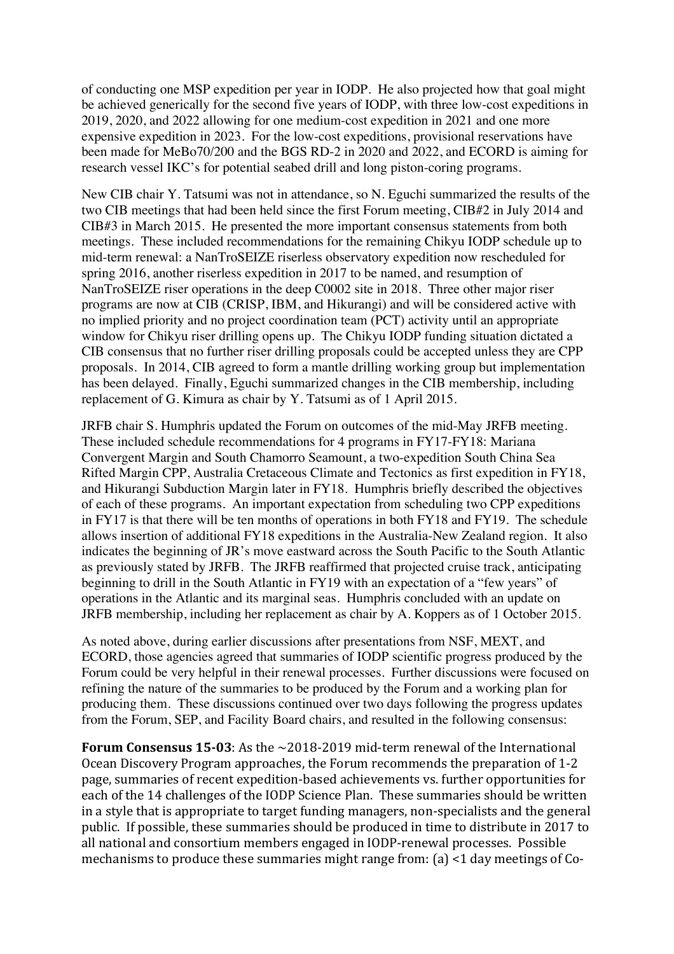of conducting one MSP expedition per year in IODP. He also projected how that goal might be achieved generically for the second five years of IODP, with three low-cost expeditions in 2019, 2020, and 2022 allowing for one medium-cost expedition in 2021 and one more expensive expedition in 2023. For the low-cost expeditions, provisional reservations have been made for MeBo70/200 and the BGS RD-2 in 2020 and 2022, and ECORD is aiming for research vessel IKC's for potential seabed drill and long piston-coring programs.

New CIB chair Y. Tatsumi was not in attendance, so N. Eguchi summarized the results of the two CIB meetings that had been held since the first Forum meeting, CIB#2 in July 2014 and CIB#3 in March 2015. He presented the more important consensus statements from both meetings. These included recommendations for the remaining Chikyu IODP schedule up to mid-term renewal: a NanTroSEIZE riserless observatory expedition now rescheduled for spring 2016, another riserless expedition in 2017 to be named, and resumption of NanTroSEIZE riser operations in the deep C0002 site in 2018. Three other major riser programs are now at CIB (CRISP, IBM, and Hikurangi) and will be considered active with no implied priority and no project coordination team (PCT) activity until an appropriate window for Chikyu riser drilling opens up. The Chikyu IODP funding situation dictated a CIB consensus that no further riser drilling proposals could be accepted unless they are CPP proposals. In 2014, CIB agreed to form a mantle drilling working group but implementation has been delayed. Finally, Eguchi summarized changes in the CIB membership, including replacement of G. Kimura as chair by Y. Tatsumi as of 1 April 2015.

JRFB chair S. Humphris updated the Forum on outcomes of the mid-May JRFB meeting. These included schedule recommendations for 4 programs in FY17-FY18: Mariana Convergent Margin and South Chamorro Seamount, a two-expedition South China Sea Rifted Margin CPP, Australia Cretaceous Climate and Tectonics as first expedition in FY18, and Hikurangi Subduction Margin later in FY18. Humphris briefly described the objectives of each of these programs. An important expectation from scheduling two CPP expeditions in FY17 is that there will be ten months of operations in both FY18 and FY19. The schedule allows insertion of additional FY18 expeditions in the Australia-New Zealand region. It also indicates the beginning of JR's move eastward across the South Pacific to the South Atlantic as previously stated by JRFB. The JRFB reaffirmed that projected cruise track, anticipating beginning to drill in the South Atlantic in FY19 with an expectation of a "few years" of operations in the Atlantic and its marginal seas. Humphris concluded with an update on JRFB membership, including her replacement as chair by A. Koppers as of 1 October 2015.

As noted above, during earlier discussions after presentations from NSF, MEXT, and ECORD, those agencies agreed that summaries of IODP scientific progress produced by the Forum could be very helpful in their renewal processes. Further discussions were focused on refining the nature of the summaries to be produced by the Forum and a working plan for producing them. These discussions continued over two days following the progress updates from the Forum, SEP, and Facility Board chairs, and resulted in the following consensus:

**Forum Consensus 15-03**: As the  $\sim$ 2018-2019 mid-term renewal of the International Ocean Discovery Program approaches, the Forum recommends the preparation of 1-2 page, summaries of recent expedition-based achievements vs. further opportunities for each of the 14 challenges of the IODP Science Plan. These summaries should be written in a style that is appropriate to target funding managers, non-specialists and the general public. If possible, these summaries should be produced in time to distribute in 2017 to all national and consortium members engaged in IODP-renewal processes. Possible mechanisms to produce these summaries might range from:  $(a)$  <1 day meetings of Co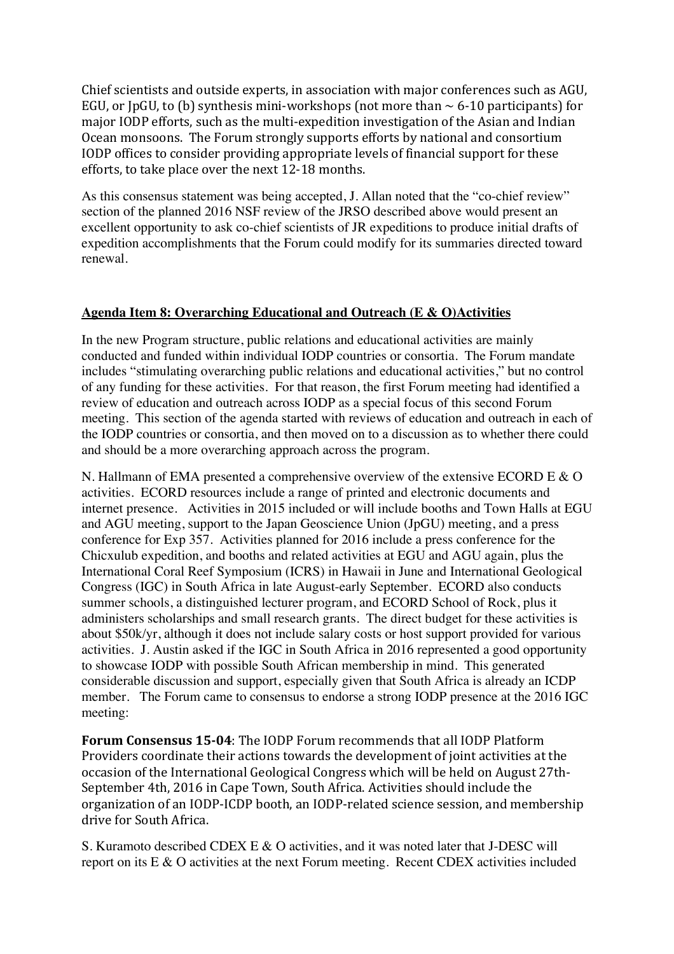Chief scientists and outside experts, in association with major conferences such as AGU, EGU, or  $[pGU, to (b)$  synthesis mini-workshops (not more than  $\sim 6$ -10 participants) for major IODP efforts, such as the multi-expedition investigation of the Asian and Indian Ocean monsoons. The Forum strongly supports efforts by national and consortium IODP offices to consider providing appropriate levels of financial support for these efforts, to take place over the next 12-18 months.

As this consensus statement was being accepted, J. Allan noted that the "co-chief review" section of the planned 2016 NSF review of the JRSO described above would present an excellent opportunity to ask co-chief scientists of JR expeditions to produce initial drafts of expedition accomplishments that the Forum could modify for its summaries directed toward renewal.

### **Agenda Item 8: Overarching Educational and Outreach (E & O)Activities**

In the new Program structure, public relations and educational activities are mainly conducted and funded within individual IODP countries or consortia. The Forum mandate includes "stimulating overarching public relations and educational activities," but no control of any funding for these activities. For that reason, the first Forum meeting had identified a review of education and outreach across IODP as a special focus of this second Forum meeting. This section of the agenda started with reviews of education and outreach in each of the IODP countries or consortia, and then moved on to a discussion as to whether there could and should be a more overarching approach across the program.

N. Hallmann of EMA presented a comprehensive overview of the extensive ECORD E & O activities. ECORD resources include a range of printed and electronic documents and internet presence. Activities in 2015 included or will include booths and Town Halls at EGU and AGU meeting, support to the Japan Geoscience Union (JpGU) meeting, and a press conference for Exp 357. Activities planned for 2016 include a press conference for the Chicxulub expedition, and booths and related activities at EGU and AGU again, plus the International Coral Reef Symposium (ICRS) in Hawaii in June and International Geological Congress (IGC) in South Africa in late August-early September. ECORD also conducts summer schools, a distinguished lecturer program, and ECORD School of Rock, plus it administers scholarships and small research grants. The direct budget for these activities is about \$50k/yr, although it does not include salary costs or host support provided for various activities. J. Austin asked if the IGC in South Africa in 2016 represented a good opportunity to showcase IODP with possible South African membership in mind. This generated considerable discussion and support, especially given that South Africa is already an ICDP member. The Forum came to consensus to endorse a strong IODP presence at the 2016 IGC meeting:

**Forum Consensus 15-04:** The IODP Forum recommends that all IODP Platform Providers coordinate their actions towards the development of joint activities at the occasion of the International Geological Congress which will be held on August 27th-September 4th, 2016 in Cape Town, South Africa. Activities should include the organization of an IODP-ICDP booth, an IODP-related science session, and membership drive for South Africa.

S. Kuramoto described CDEX E  $\&$  O activities, and it was noted later that J-DESC will report on its E & O activities at the next Forum meeting. Recent CDEX activities included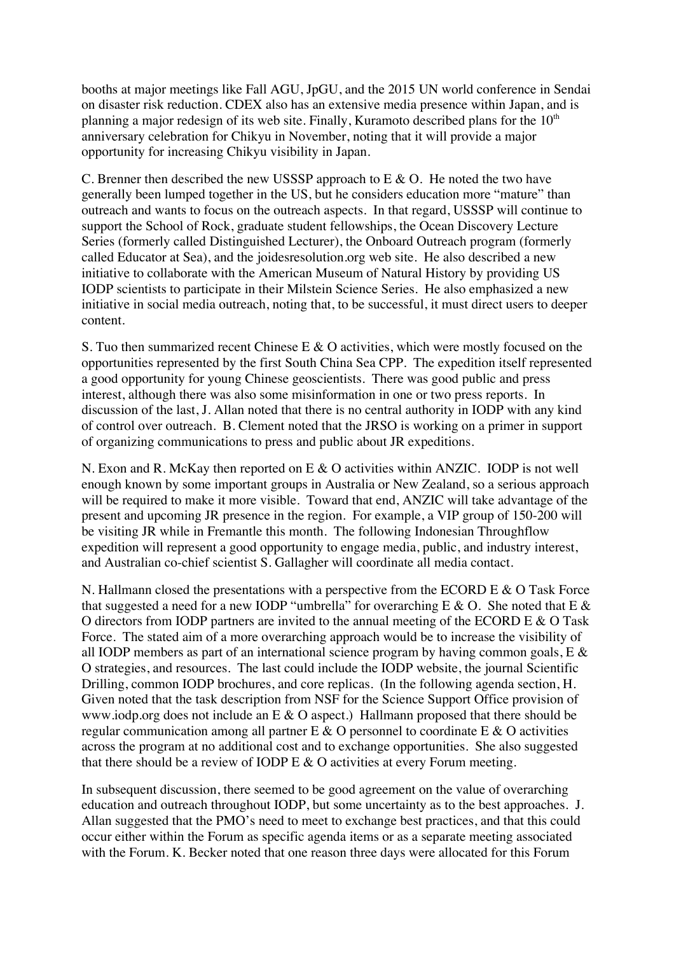booths at major meetings like Fall AGU, JpGU, and the 2015 UN world conference in Sendai on disaster risk reduction. CDEX also has an extensive media presence within Japan, and is planning a major redesign of its web site. Finally, Kuramoto described plans for the  $10<sup>th</sup>$ anniversary celebration for Chikyu in November, noting that it will provide a major opportunity for increasing Chikyu visibility in Japan.

C. Brenner then described the new USSSP approach to E & O. He noted the two have generally been lumped together in the US, but he considers education more "mature" than outreach and wants to focus on the outreach aspects. In that regard, USSSP will continue to support the School of Rock, graduate student fellowships, the Ocean Discovery Lecture Series (formerly called Distinguished Lecturer), the Onboard Outreach program (formerly called Educator at Sea), and the joidesresolution.org web site. He also described a new initiative to collaborate with the American Museum of Natural History by providing US IODP scientists to participate in their Milstein Science Series. He also emphasized a new initiative in social media outreach, noting that, to be successful, it must direct users to deeper content.

S. Tuo then summarized recent Chinese E & O activities, which were mostly focused on the opportunities represented by the first South China Sea CPP. The expedition itself represented a good opportunity for young Chinese geoscientists. There was good public and press interest, although there was also some misinformation in one or two press reports. In discussion of the last, J. Allan noted that there is no central authority in IODP with any kind of control over outreach. B. Clement noted that the JRSO is working on a primer in support of organizing communications to press and public about JR expeditions.

N. Exon and R. McKay then reported on E & O activities within ANZIC. IODP is not well enough known by some important groups in Australia or New Zealand, so a serious approach will be required to make it more visible. Toward that end, ANZIC will take advantage of the present and upcoming JR presence in the region. For example, a VIP group of 150-200 will be visiting JR while in Fremantle this month. The following Indonesian Throughflow expedition will represent a good opportunity to engage media, public, and industry interest, and Australian co-chief scientist S. Gallagher will coordinate all media contact.

N. Hallmann closed the presentations with a perspective from the ECORD E & O Task Force that suggested a need for a new IODP "umbrella" for overarching E & O. She noted that E & O directors from IODP partners are invited to the annual meeting of the ECORD E & O Task Force. The stated aim of a more overarching approach would be to increase the visibility of all IODP members as part of an international science program by having common goals, E & O strategies, and resources. The last could include the IODP website, the journal Scientific Drilling, common IODP brochures, and core replicas. (In the following agenda section, H. Given noted that the task description from NSF for the Science Support Office provision of www.iodp.org does not include an E & O aspect.) Hallmann proposed that there should be regular communication among all partner  $E \& O$  personnel to coordinate  $E \& O$  activities across the program at no additional cost and to exchange opportunities. She also suggested that there should be a review of IODP E & O activities at every Forum meeting.

In subsequent discussion, there seemed to be good agreement on the value of overarching education and outreach throughout IODP, but some uncertainty as to the best approaches. J. Allan suggested that the PMO's need to meet to exchange best practices, and that this could occur either within the Forum as specific agenda items or as a separate meeting associated with the Forum. K. Becker noted that one reason three days were allocated for this Forum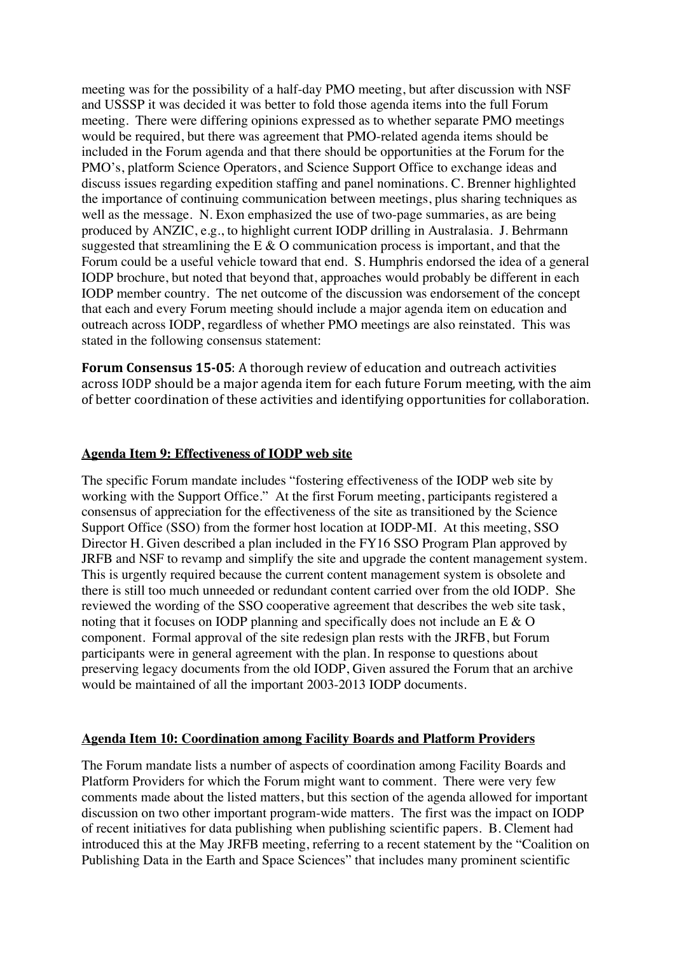meeting was for the possibility of a half-day PMO meeting, but after discussion with NSF and USSSP it was decided it was better to fold those agenda items into the full Forum meeting. There were differing opinions expressed as to whether separate PMO meetings would be required, but there was agreement that PMO-related agenda items should be included in the Forum agenda and that there should be opportunities at the Forum for the PMO's, platform Science Operators, and Science Support Office to exchange ideas and discuss issues regarding expedition staffing and panel nominations. C. Brenner highlighted the importance of continuing communication between meetings, plus sharing techniques as well as the message. N. Exon emphasized the use of two-page summaries, as are being produced by ANZIC, e.g., to highlight current IODP drilling in Australasia. J. Behrmann suggested that streamlining the E  $\&$  O communication process is important, and that the Forum could be a useful vehicle toward that end. S. Humphris endorsed the idea of a general IODP brochure, but noted that beyond that, approaches would probably be different in each IODP member country. The net outcome of the discussion was endorsement of the concept that each and every Forum meeting should include a major agenda item on education and outreach across IODP, regardless of whether PMO meetings are also reinstated. This was stated in the following consensus statement:

**Forum Consensus 15-05**: A thorough review of education and outreach activities across IODP should be a major agenda item for each future Forum meeting, with the aim of better coordination of these activities and identifying opportunities for collaboration.

#### **Agenda Item 9: Effectiveness of IODP web site**

The specific Forum mandate includes "fostering effectiveness of the IODP web site by working with the Support Office." At the first Forum meeting, participants registered a consensus of appreciation for the effectiveness of the site as transitioned by the Science Support Office (SSO) from the former host location at IODP-MI. At this meeting, SSO Director H. Given described a plan included in the FY16 SSO Program Plan approved by JRFB and NSF to revamp and simplify the site and upgrade the content management system. This is urgently required because the current content management system is obsolete and there is still too much unneeded or redundant content carried over from the old IODP. She reviewed the wording of the SSO cooperative agreement that describes the web site task, noting that it focuses on IODP planning and specifically does not include an E & O component. Formal approval of the site redesign plan rests with the JRFB, but Forum participants were in general agreement with the plan. In response to questions about preserving legacy documents from the old IODP, Given assured the Forum that an archive would be maintained of all the important 2003-2013 IODP documents.

#### **Agenda Item 10: Coordination among Facility Boards and Platform Providers**

The Forum mandate lists a number of aspects of coordination among Facility Boards and Platform Providers for which the Forum might want to comment. There were very few comments made about the listed matters, but this section of the agenda allowed for important discussion on two other important program-wide matters. The first was the impact on IODP of recent initiatives for data publishing when publishing scientific papers. B. Clement had introduced this at the May JRFB meeting, referring to a recent statement by the "Coalition on Publishing Data in the Earth and Space Sciences" that includes many prominent scientific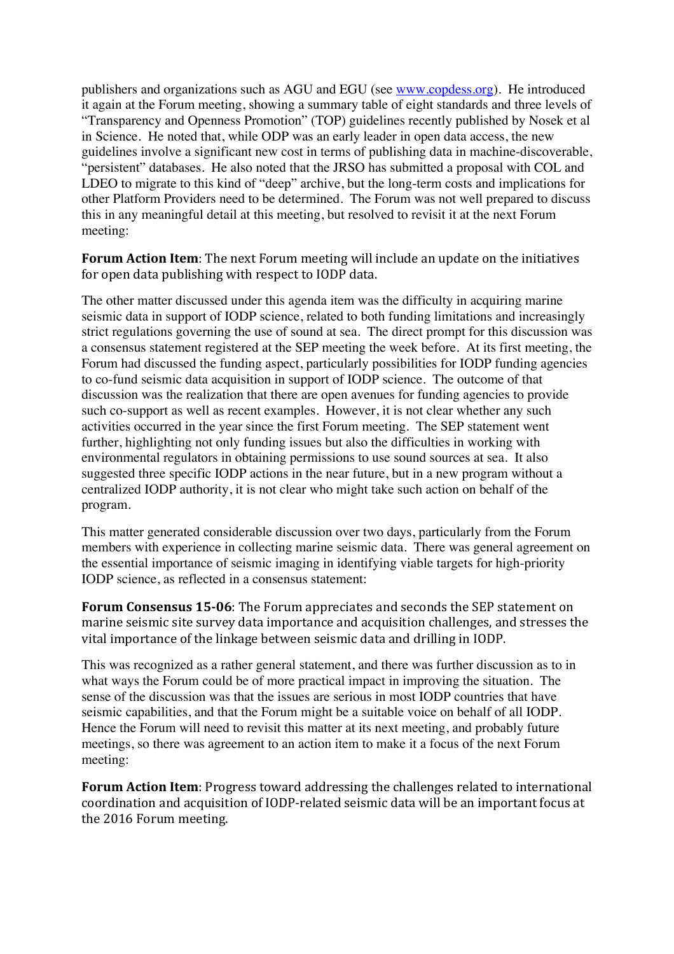publishers and organizations such as AGU and EGU (see www.copdess.org). He introduced it again at the Forum meeting, showing a summary table of eight standards and three levels of "Transparency and Openness Promotion" (TOP) guidelines recently published by Nosek et al in Science. He noted that, while ODP was an early leader in open data access, the new guidelines involve a significant new cost in terms of publishing data in machine-discoverable, "persistent" databases. He also noted that the JRSO has submitted a proposal with COL and LDEO to migrate to this kind of "deep" archive, but the long-term costs and implications for other Platform Providers need to be determined. The Forum was not well prepared to discuss this in any meaningful detail at this meeting, but resolved to revisit it at the next Forum meeting:

**Forum Action Item**: The next Forum meeting will include an update on the initiatives for open data publishing with respect to IODP data.

The other matter discussed under this agenda item was the difficulty in acquiring marine seismic data in support of IODP science, related to both funding limitations and increasingly strict regulations governing the use of sound at sea. The direct prompt for this discussion was a consensus statement registered at the SEP meeting the week before. At its first meeting, the Forum had discussed the funding aspect, particularly possibilities for IODP funding agencies to co-fund seismic data acquisition in support of IODP science. The outcome of that discussion was the realization that there are open avenues for funding agencies to provide such co-support as well as recent examples. However, it is not clear whether any such activities occurred in the year since the first Forum meeting. The SEP statement went further, highlighting not only funding issues but also the difficulties in working with environmental regulators in obtaining permissions to use sound sources at sea. It also suggested three specific IODP actions in the near future, but in a new program without a centralized IODP authority, it is not clear who might take such action on behalf of the program.

This matter generated considerable discussion over two days, particularly from the Forum members with experience in collecting marine seismic data. There was general agreement on the essential importance of seismic imaging in identifying viable targets for high-priority IODP science, as reflected in a consensus statement:

**Forum Consensus 15-06**: The Forum appreciates and seconds the SEP statement on marine seismic site survey data importance and acquisition challenges, and stresses the vital importance of the linkage between seismic data and drilling in IODP.

This was recognized as a rather general statement, and there was further discussion as to in what ways the Forum could be of more practical impact in improving the situation. The sense of the discussion was that the issues are serious in most IODP countries that have seismic capabilities, and that the Forum might be a suitable voice on behalf of all IODP. Hence the Forum will need to revisit this matter at its next meeting, and probably future meetings, so there was agreement to an action item to make it a focus of the next Forum meeting:

**Forum Action Item**: Progress toward addressing the challenges related to international coordination and acquisition of IODP-related seismic data will be an important focus at the 2016 Forum meeting.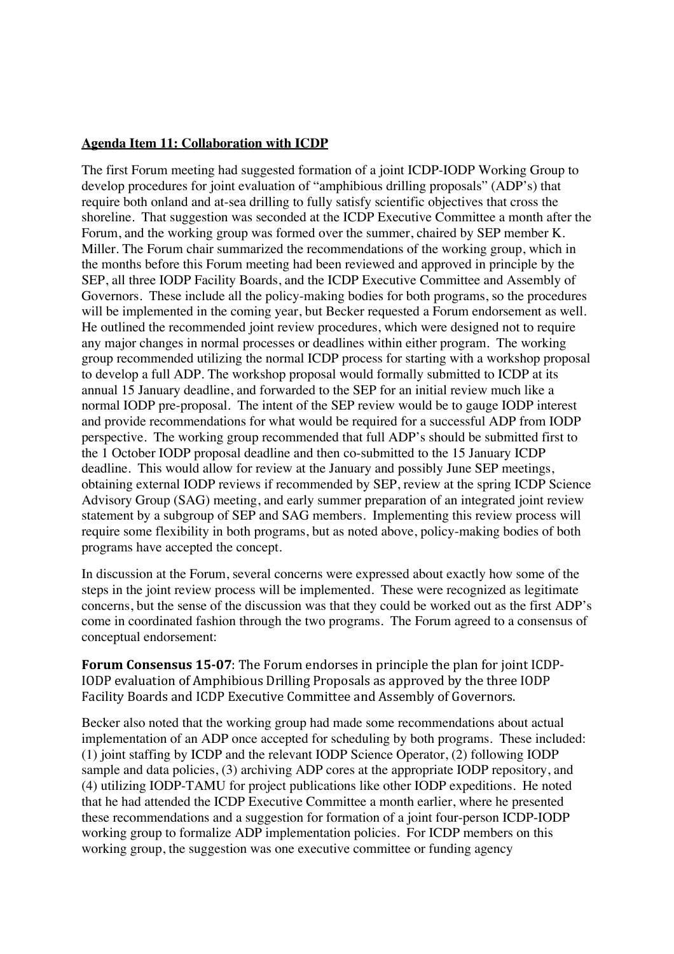### **Agenda Item 11: Collaboration with ICDP**

The first Forum meeting had suggested formation of a joint ICDP-IODP Working Group to develop procedures for joint evaluation of "amphibious drilling proposals" (ADP's) that require both onland and at-sea drilling to fully satisfy scientific objectives that cross the shoreline. That suggestion was seconded at the ICDP Executive Committee a month after the Forum, and the working group was formed over the summer, chaired by SEP member K. Miller. The Forum chair summarized the recommendations of the working group, which in the months before this Forum meeting had been reviewed and approved in principle by the SEP, all three IODP Facility Boards, and the ICDP Executive Committee and Assembly of Governors. These include all the policy-making bodies for both programs, so the procedures will be implemented in the coming year, but Becker requested a Forum endorsement as well. He outlined the recommended joint review procedures, which were designed not to require any major changes in normal processes or deadlines within either program. The working group recommended utilizing the normal ICDP process for starting with a workshop proposal to develop a full ADP. The workshop proposal would formally submitted to ICDP at its annual 15 January deadline, and forwarded to the SEP for an initial review much like a normal IODP pre-proposal. The intent of the SEP review would be to gauge IODP interest and provide recommendations for what would be required for a successful ADP from IODP perspective. The working group recommended that full ADP's should be submitted first to the 1 October IODP proposal deadline and then co-submitted to the 15 January ICDP deadline. This would allow for review at the January and possibly June SEP meetings, obtaining external IODP reviews if recommended by SEP, review at the spring ICDP Science Advisory Group (SAG) meeting, and early summer preparation of an integrated joint review statement by a subgroup of SEP and SAG members. Implementing this review process will require some flexibility in both programs, but as noted above, policy-making bodies of both programs have accepted the concept.

In discussion at the Forum, several concerns were expressed about exactly how some of the steps in the joint review process will be implemented. These were recognized as legitimate concerns, but the sense of the discussion was that they could be worked out as the first ADP's come in coordinated fashion through the two programs. The Forum agreed to a consensus of conceptual endorsement:

**Forum Consensus 15-07**: The Forum endorses in principle the plan for joint ICDP-IODP evaluation of Amphibious Drilling Proposals as approved by the three IODP Facility Boards and ICDP Executive Committee and Assembly of Governors.

Becker also noted that the working group had made some recommendations about actual implementation of an ADP once accepted for scheduling by both programs. These included: (1) joint staffing by ICDP and the relevant IODP Science Operator, (2) following IODP sample and data policies, (3) archiving ADP cores at the appropriate IODP repository, and (4) utilizing IODP-TAMU for project publications like other IODP expeditions. He noted that he had attended the ICDP Executive Committee a month earlier, where he presented these recommendations and a suggestion for formation of a joint four-person ICDP-IODP working group to formalize ADP implementation policies. For ICDP members on this working group, the suggestion was one executive committee or funding agency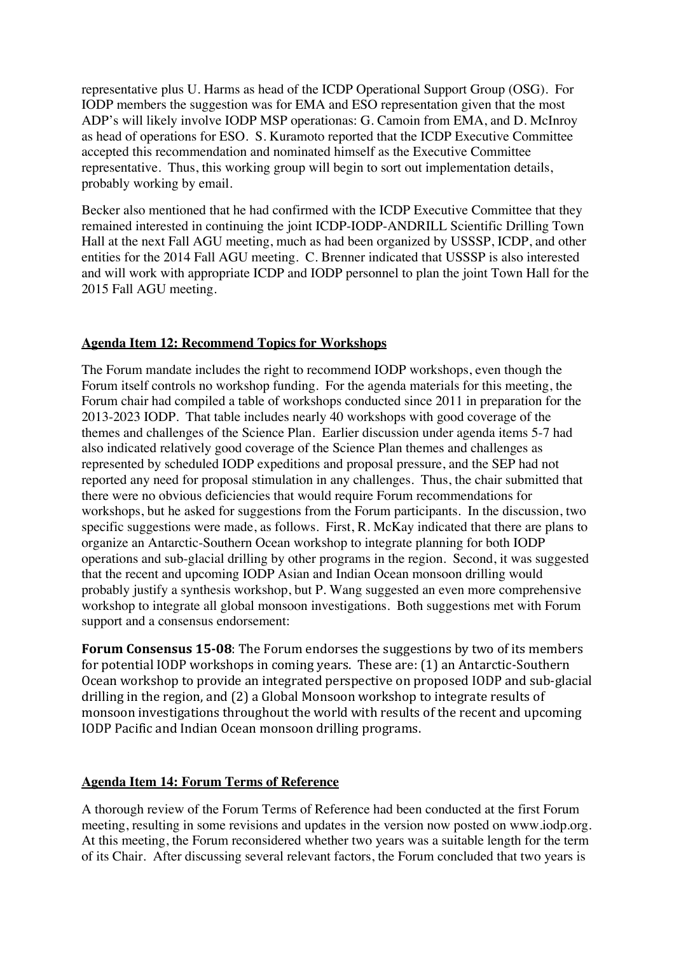representative plus U. Harms as head of the ICDP Operational Support Group (OSG). For IODP members the suggestion was for EMA and ESO representation given that the most ADP's will likely involve IODP MSP operationas: G. Camoin from EMA, and D. McInroy as head of operations for ESO. S. Kuramoto reported that the ICDP Executive Committee accepted this recommendation and nominated himself as the Executive Committee representative. Thus, this working group will begin to sort out implementation details, probably working by email.

Becker also mentioned that he had confirmed with the ICDP Executive Committee that they remained interested in continuing the joint ICDP-IODP-ANDRILL Scientific Drilling Town Hall at the next Fall AGU meeting, much as had been organized by USSSP, ICDP, and other entities for the 2014 Fall AGU meeting. C. Brenner indicated that USSSP is also interested and will work with appropriate ICDP and IODP personnel to plan the joint Town Hall for the 2015 Fall AGU meeting.

### **Agenda Item 12: Recommend Topics for Workshops**

The Forum mandate includes the right to recommend IODP workshops, even though the Forum itself controls no workshop funding. For the agenda materials for this meeting, the Forum chair had compiled a table of workshops conducted since 2011 in preparation for the 2013-2023 IODP. That table includes nearly 40 workshops with good coverage of the themes and challenges of the Science Plan. Earlier discussion under agenda items 5-7 had also indicated relatively good coverage of the Science Plan themes and challenges as represented by scheduled IODP expeditions and proposal pressure, and the SEP had not reported any need for proposal stimulation in any challenges. Thus, the chair submitted that there were no obvious deficiencies that would require Forum recommendations for workshops, but he asked for suggestions from the Forum participants. In the discussion, two specific suggestions were made, as follows. First, R. McKay indicated that there are plans to organize an Antarctic-Southern Ocean workshop to integrate planning for both IODP operations and sub-glacial drilling by other programs in the region. Second, it was suggested that the recent and upcoming IODP Asian and Indian Ocean monsoon drilling would probably justify a synthesis workshop, but P. Wang suggested an even more comprehensive workshop to integrate all global monsoon investigations. Both suggestions met with Forum support and a consensus endorsement:

**Forum Consensus 15-08:** The Forum endorses the suggestions by two of its members for potential IODP workshops in coming years. These are:  $(1)$  an Antarctic-Southern Ocean workshop to provide an integrated perspective on proposed IODP and sub-glacial drilling in the region, and  $(2)$  a Global Monsoon workshop to integrate results of monsoon investigations throughout the world with results of the recent and upcoming IODP Pacific and Indian Ocean monsoon drilling programs.

### **Agenda Item 14: Forum Terms of Reference**

A thorough review of the Forum Terms of Reference had been conducted at the first Forum meeting, resulting in some revisions and updates in the version now posted on www.iodp.org. At this meeting, the Forum reconsidered whether two years was a suitable length for the term of its Chair. After discussing several relevant factors, the Forum concluded that two years is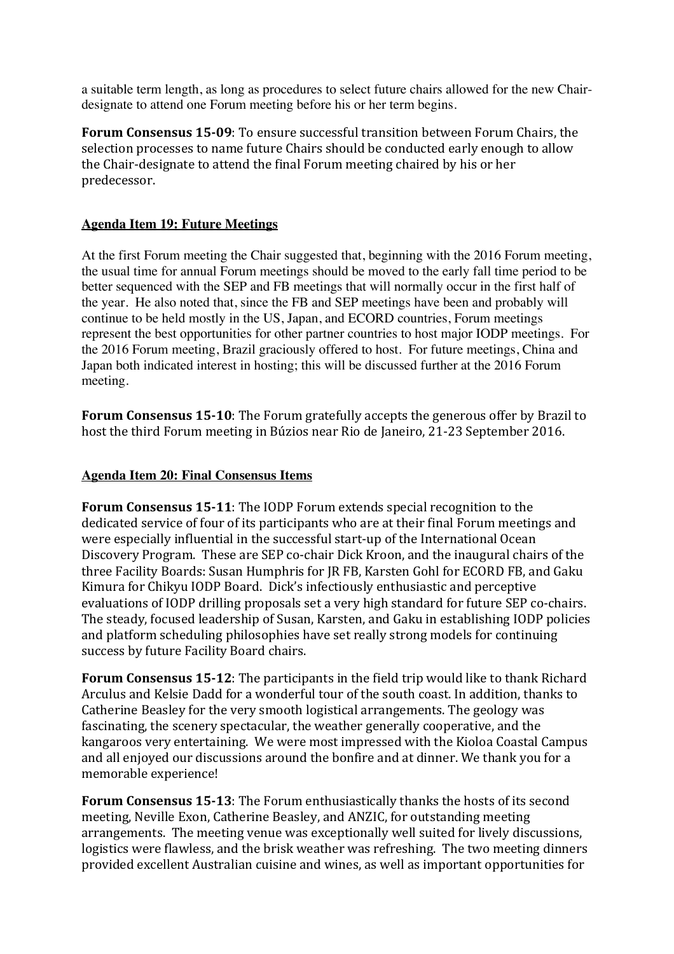a suitable term length, as long as procedures to select future chairs allowed for the new Chairdesignate to attend one Forum meeting before his or her term begins.

**Forum Consensus 15-09:** To ensure successful transition between Forum Chairs, the selection processes to name future Chairs should be conducted early enough to allow the Chair-designate to attend the final Forum meeting chaired by his or her predecessor.

### **Agenda Item 19: Future Meetings**

At the first Forum meeting the Chair suggested that, beginning with the 2016 Forum meeting, the usual time for annual Forum meetings should be moved to the early fall time period to be better sequenced with the SEP and FB meetings that will normally occur in the first half of the year. He also noted that, since the FB and SEP meetings have been and probably will continue to be held mostly in the US, Japan, and ECORD countries, Forum meetings represent the best opportunities for other partner countries to host major IODP meetings. For the 2016 Forum meeting, Brazil graciously offered to host. For future meetings, China and Japan both indicated interest in hosting; this will be discussed further at the 2016 Forum meeting.

**Forum Consensus 15-10:** The Forum gratefully accepts the generous offer by Brazil to host the third Forum meeting in Búzios near Rio de Janeiro, 21-23 September 2016.

### **Agenda Item 20: Final Consensus Items**

**Forum Consensus 15-11**: The IODP Forum extends special recognition to the dedicated service of four of its participants who are at their final Forum meetings and were especially influential in the successful start-up of the International Ocean Discovery Program. These are SEP co-chair Dick Kroon, and the inaugural chairs of the three Facility Boards: Susan Humphris for JR FB, Karsten Gohl for ECORD FB, and Gaku Kimura for Chikyu IODP Board. Dick's infectiously enthusiastic and perceptive evaluations of IODP drilling proposals set a very high standard for future SEP co-chairs. The steady, focused leadership of Susan, Karsten, and Gaku in establishing IODP policies and platform scheduling philosophies have set really strong models for continuing success by future Facility Board chairs.

**Forum Consensus 15-12:** The participants in the field trip would like to thank Richard Arculus and Kelsie Dadd for a wonderful tour of the south coast. In addition, thanks to Catherine Beasley for the very smooth logistical arrangements. The geology was fascinating, the scenery spectacular, the weather generally cooperative, and the kangaroos very entertaining. We were most impressed with the Kioloa Coastal Campus and all enjoyed our discussions around the bonfire and at dinner. We thank you for a memorable experience!

**Forum Consensus 15-13:** The Forum enthusiastically thanks the hosts of its second meeting, Neville Exon, Catherine Beasley, and ANZIC, for outstanding meeting arrangements. The meeting venue was exceptionally well suited for lively discussions, logistics were flawless, and the brisk weather was refreshing. The two meeting dinners provided excellent Australian cuisine and wines, as well as important opportunities for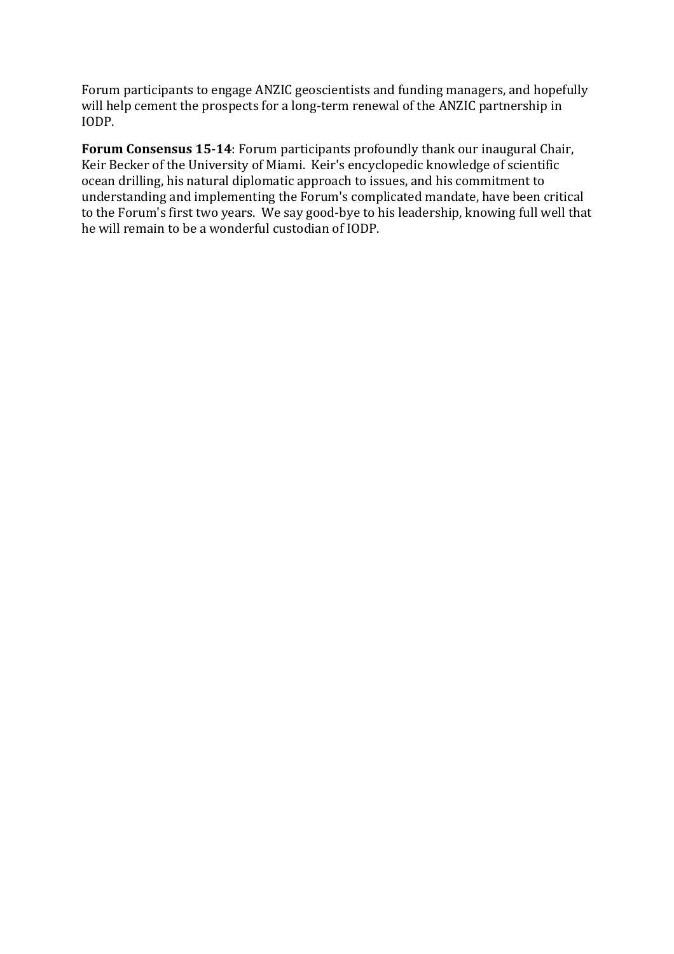Forum participants to engage ANZIC geoscientists and funding managers, and hopefully will help cement the prospects for a long-term renewal of the ANZIC partnership in IODP.

**Forum Consensus 15-14**: Forum participants profoundly thank our inaugural Chair, Keir Becker of the University of Miami. Keir's encyclopedic knowledge of scientific ocean drilling, his natural diplomatic approach to issues, and his commitment to understanding and implementing the Forum's complicated mandate, have been critical to the Forum's first two years. We say good-bye to his leadership, knowing full well that he will remain to be a wonderful custodian of IODP.